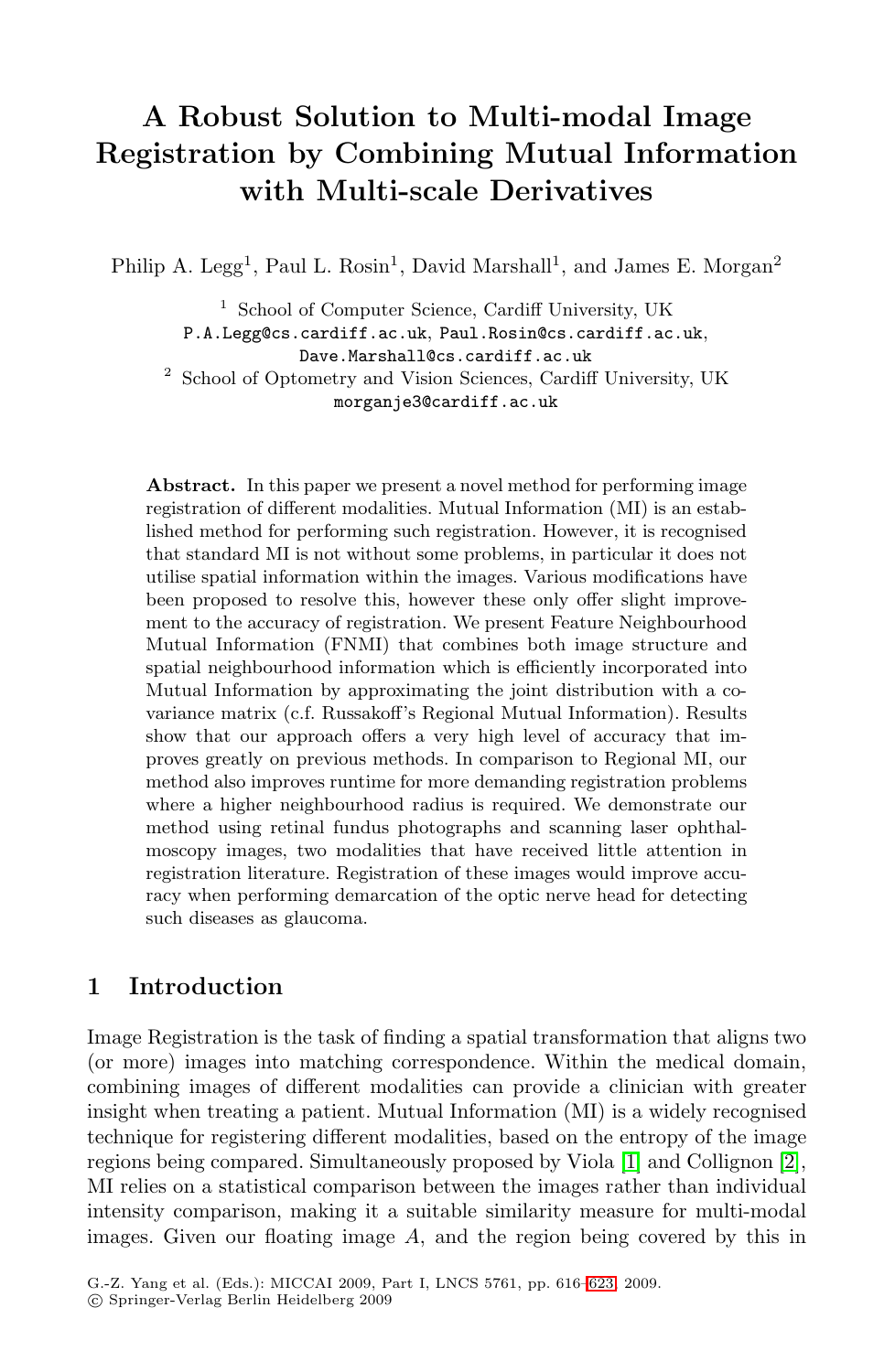# **A Robust Solution to Multi-modal Image Registration by Combining Mutual Information with Multi-scale Derivatives**

Philip A. Legg<sup>1</sup>, Paul L. Rosin<sup>1</sup>, David Marshall<sup>1</sup>, and James E. Morgan<sup>2</sup>

<sup>1</sup> School of Computer Science, Cardiff University, UK P.A.Legg@cs.cardiff.ac.uk, Paul.Rosin@cs.cardiff.ac.uk, Dave.Marshall@cs.cardiff.ac.uk <sup>2</sup> School of Optometry and Vision Sciences, Cardiff University, UK morganje3@cardiff.ac.uk

**Abstract.** In this paper we present a novel method for performing image registration of different modalities. Mutual Information (MI) is an established method for performing such registration. However, it is recognised that standard MI is not without some problems, in particular it does not utilise spatial information within the images. Various modifications have been proposed to resolve this, however these only offer slight improvement to the accuracy of registration. We present Feature Neighbourhood Mutual Information (FNMI) that combines both image structure and spatial neighbourhood information which is efficiently incorporated into Mutual Information by approximating the joint distribution with a covariance matrix (c.f. Russakoff's Regional Mutual Information). Results show that our approach offers a very high level of accuracy that improves greatly on previous methods. In comparison to Regional MI, our method also improves runtime for more demanding registration problems where a higher neighbourhood radius is required. We demonstrate our method using retinal fundus photographs and scanning laser ophthalmoscopy images, two modalities that have received little attention in registration literature. Registration of these images would improve accuracy when performing demarcation of the optic nerve head for detecting such diseases as glaucoma.

## **1 Introduction**

Image Registration is the task of finding a spatial transformation that aligns two (or more) images into matching correspondence. Within the medical domain, combining images of different modalities can provide a clinician with greater insight when treating a patient. Mutual Information (MI) is a widely recognised technique for registering different modalities, based on the entropy of the image regions being compared. Simultaneously proposed by Viola [1] and Collignon [2], MI relies on a statistical comparison between the images rather than individual intensity comparison, making it a suitable similarity measure for multi-modal images. Given our floating image  $A$ , and the region being covered by this in

G.-Z. Yang et al. (Eds.): MICCAI 2009, Part I, LNCS 5761, pp. 616–623, 2009.

<sup>-</sup>c Springer-Verlag Berlin Heidelberg 2009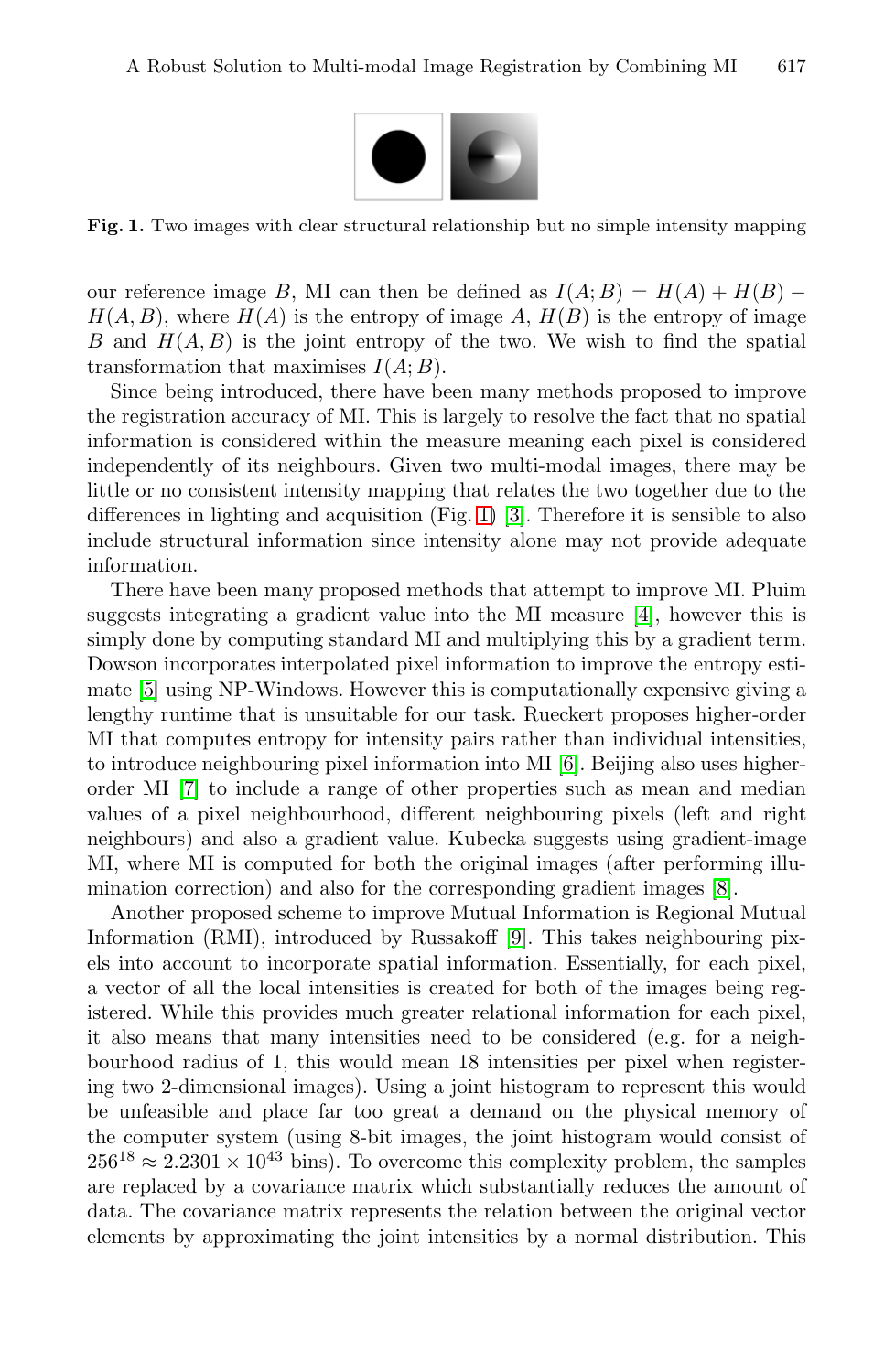

**Fig. 1.** Two images with clear structural relationship but no simple intensity mapping

our reference image B, MI can then be defined as  $I(A;B) = H(A) + H(B)$  $H(A, B)$ , where  $H(A)$  is the entropy of image A,  $H(B)$  is the entropy of image B and  $H(A, B)$  is the joint entropy of the two. We wish to find the spatial transformation that maximises  $I(A;B)$ .

Since being introduced, there have been many methods proposed to improve the registration accuracy of MI. This is largely to resolve the fact that no spatial information is considered within the measure meaning each pixel is considered independently of its neighbours. Given two multi-modal images, there may be little or no consistent intensity mapping that relates the two together due to the differences in lighting and acquisition (Fig. 1) [3]. Therefore it is sensible to also include structural information since intensity alone may not provide adequate information.

There have been many proposed methods that attempt to improve MI. Pluim suggests integrating a gradient value into the MI measure [4], however this is simply done by computing standard MI and multiplying this by a gradient term. Dowson incorporates interpolated pixel information to improve the entropy estimate [5] using NP-Windows. However this is computationally expensive giving a lengthy runtime that is unsuitable for our task. Rueckert proposes higher-order MI that computes entropy for intensity pairs rather than individual intensities, to introduce neighbouring pixel information into MI [6]. Beijing also uses higherorder MI [7] to include a range of other properties such as mean and median values of a pixel neighbourhood, different neighbouring pixels (left and right neighbours) and also a gradient value. Kubecka suggests using gradient-image MI, where MI is computed for both the original images (after performing illumination correction) and also for the corresponding gradient images [8].

Another proposed scheme to improve Mutual Information is Regional Mutual Information (RMI), introduced by Russakoff [9]. This takes neighbouring pixels into account to incorporate spatial information. Essentially, for each pixel, a vector of all the local intensities is created for both of the images being registered. While this provides much greater relational information for each pixel, it also means that many intensities need to be considered (e.g. for a neighbourhood radius of 1, this would mean 18 intensities per pixel when registering two 2-dimensional images). Using a joint histogram to represent this would be unfeasible and place far too great a demand on the physical memory of the computer system (using 8-bit images, the joint histogram would consist of  $256^{18} \approx 2.2301 \times 10^{43}$  bins). To overcome this complexity problem, the samples are replaced by a covariance matrix which substantially reduces the amount of data. The covariance matrix represents the relation between the original vector elements by approximating the joint intensities by a normal distribution. This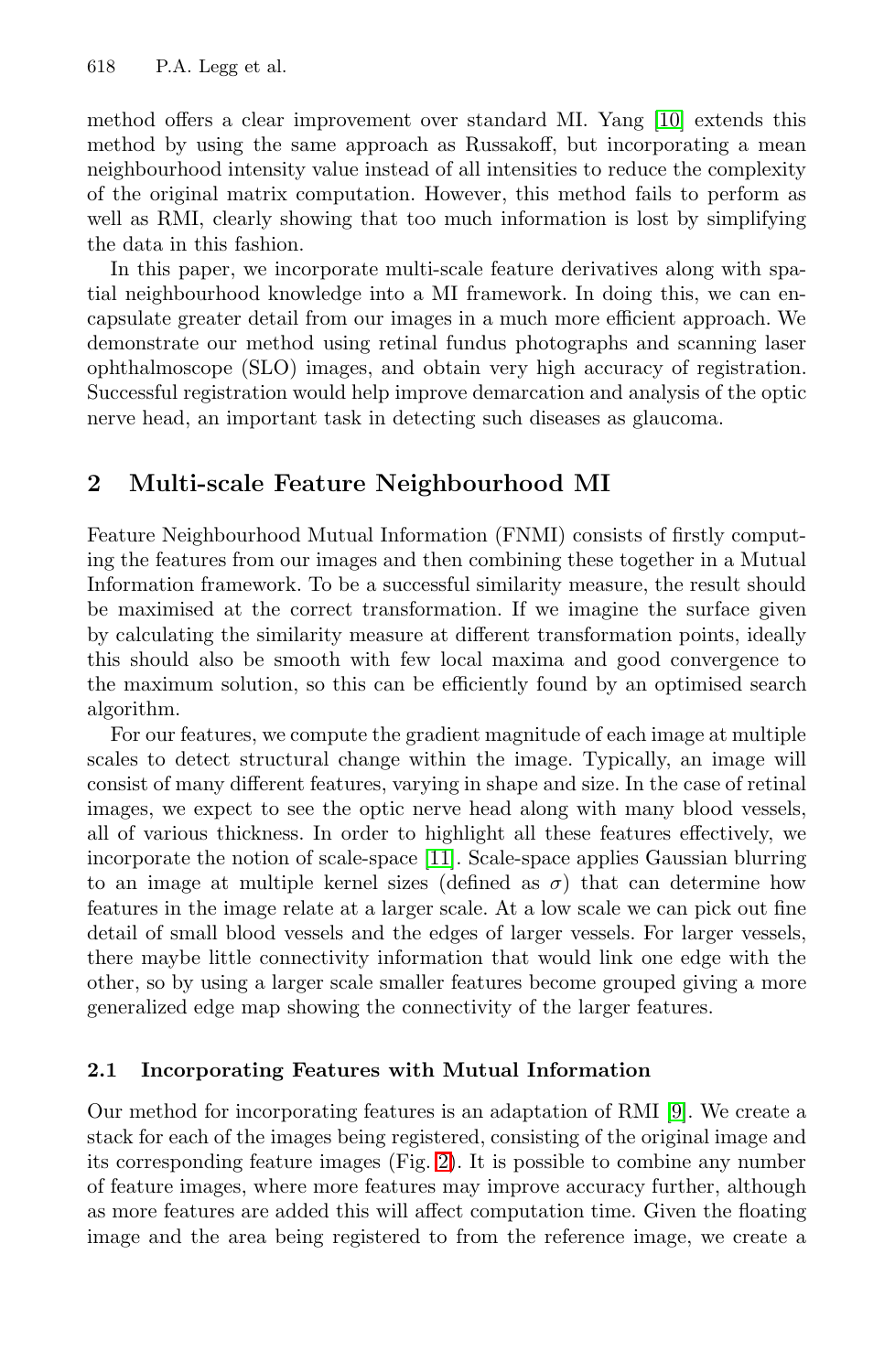#### 618 P.A. Legg et al.

method offers a clear improvement over standard MI. Yang [10] extends this method by using the same approach as Russakoff, but incorporating a mean neighbourhood intensity value instead of all intensities to reduce the complexity of the original matrix computation. However, this method fails to perform as well as RMI, clearly showing that too much information is lost by simplifying the data in this fashion.

In this paper, we incorporate multi-scale feature derivatives along with spatial neighbourhood knowledge into a MI framework. In doing this, we can encapsulate greater detail from our images in a much more efficient approach. We demonstrate our method using retinal fundus photographs and scanning laser ophthalmoscope (SLO) images, and obtain very high accuracy of registration. Successful registration would help improve demarcation and analysis of the optic nerve head, an important task in detecting such diseases as glaucoma.

## **2 Multi-scale Feature Neighbourhood MI**

Feature Neighbourhood Mutual Information (FNMI) consists of firstly computing the features from our images and then combining these together in a Mutual Information framework. To be a successful similarity measure, the result should be maximised at the correct transformation. If we imagine the surface given by calculating the similarity measure at different transformation points, ideally this should also be smooth with few local maxima and good convergence to the maximum solution, so this can be efficiently found by an optimised search algorithm.

For our features, we compute the gradient magnitude of each image at multiple scales to detect structural change within the image. Typically, an image will consist of many different features, varying in shape and size. In the case of retinal images, we expect to see the optic nerve head along with many blood vessels, all of various thickness. In order to highlight all these features effectively, we incorporate the notion of scale-space [11]. Scale-space applies Gaussian blurring to an image at multiple kernel sizes (defined as  $\sigma$ ) that can determine how features in the image relate at a larger scale. At a low scale we can pick out fine detail of small blood vessels and the edges of larger vessels. For larger vessels, there maybe little connectivity information that would link one edge with the other, so by using a larger scale smaller features become grouped giving a more generalized edge map showing the connectivity of the larger features.

#### **2.1 Incorporating Features with Mutual Information**

Our method for incorporating features is an adaptation of RMI [9]. We create a stack for each of the images being registered, consisting of the original image and its corresponding feature images (Fig. 2). It is possible to combine any number of feature images, where more features may improve accuracy further, although as more features are added this will affect computation time. Given the floating image and the area being registered to from the reference image, we create a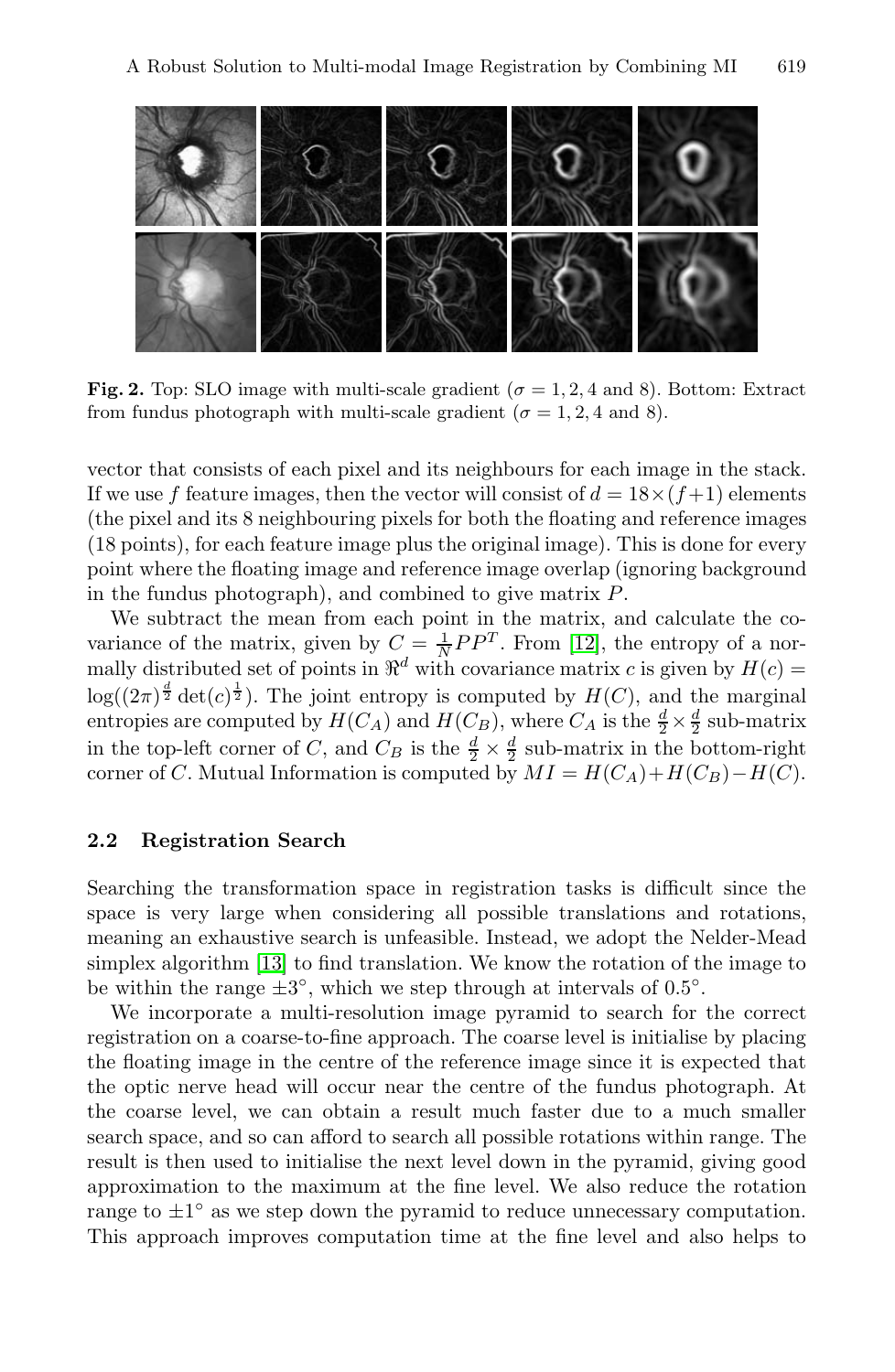

**Fig. 2.** Top: SLO image with multi-scale gradient ( $\sigma = 1, 2, 4$  and 8). Bottom: Extract from fundus photograph with multi-scale gradient ( $\sigma = 1, 2, 4$  and 8).

vector that consists of each pixel and its neighbours for each image in the stack. If we use f feature images, then the vector will consist of  $d = 18 \times (f+1)$  elements (the pixel and its 8 neighbouring pixels for both the floating and reference images (18 points), for each feature image plus the original image). This is done for every point where the floating image and reference image overlap (ignoring background in the fundus photograph), and combined to give matrix  $P$ .

We subtract the mean from each point in the matrix, and calculate the covariance of the matrix, given by  $C = \frac{1}{N}PP^{T}$ . From [12], the entropy of a normally distributed set of points in  $\mathbb{R}^d$  with covariance matrix c is given by  $H(c)$  =  $log((2\pi)^{\frac{d}{2}} det(c)^{\frac{1}{2}})$ . The joint entropy is computed by  $H(C)$ , and the marginal entropies are computed by  $H(C_A)$  and  $H(C_B)$ , where  $C_A$  is the  $\frac{d}{2} \times \frac{d}{2}$  sub-matrix in the top-left corner of C, and  $C_B$  is the  $\frac{d}{2} \times \frac{d}{2}$  sub-matrix in the bottom-right corner of C. Mutual Information is computed by  $MI = H(C_A) + H(C_B) - H(C)$ .

## **2.2 Registration Search**

Searching the transformation space in registration tasks is difficult since the space is very large when considering all possible translations and rotations, meaning an exhaustive search is unfeasible. Instead, we adopt the Nelder-Mead simplex algorithm [13] to find translation. We know the rotation of the image to be within the range  $\pm 3°$ , which we step through at intervals of 0.5°.

We incorporate a multi-resolution image pyramid to search for the correct registration on a coarse-to-fine approach. The coarse level is initialise by placing the floating image in the centre of the reference image since it is expected that the optic nerve head will occur near the centre of the fundus photograph. At the coarse level, we can obtain a result much faster due to a much smaller search space, and so can afford to search all possible rotations within range. The result is then used to initialise the next level down in the pyramid, giving good approximation to the maximum at the fine level. We also reduce the rotation range to  $\pm 1°$  as we step down the pyramid to reduce unnecessary computation. This approach improves computation time at the fine level and also helps to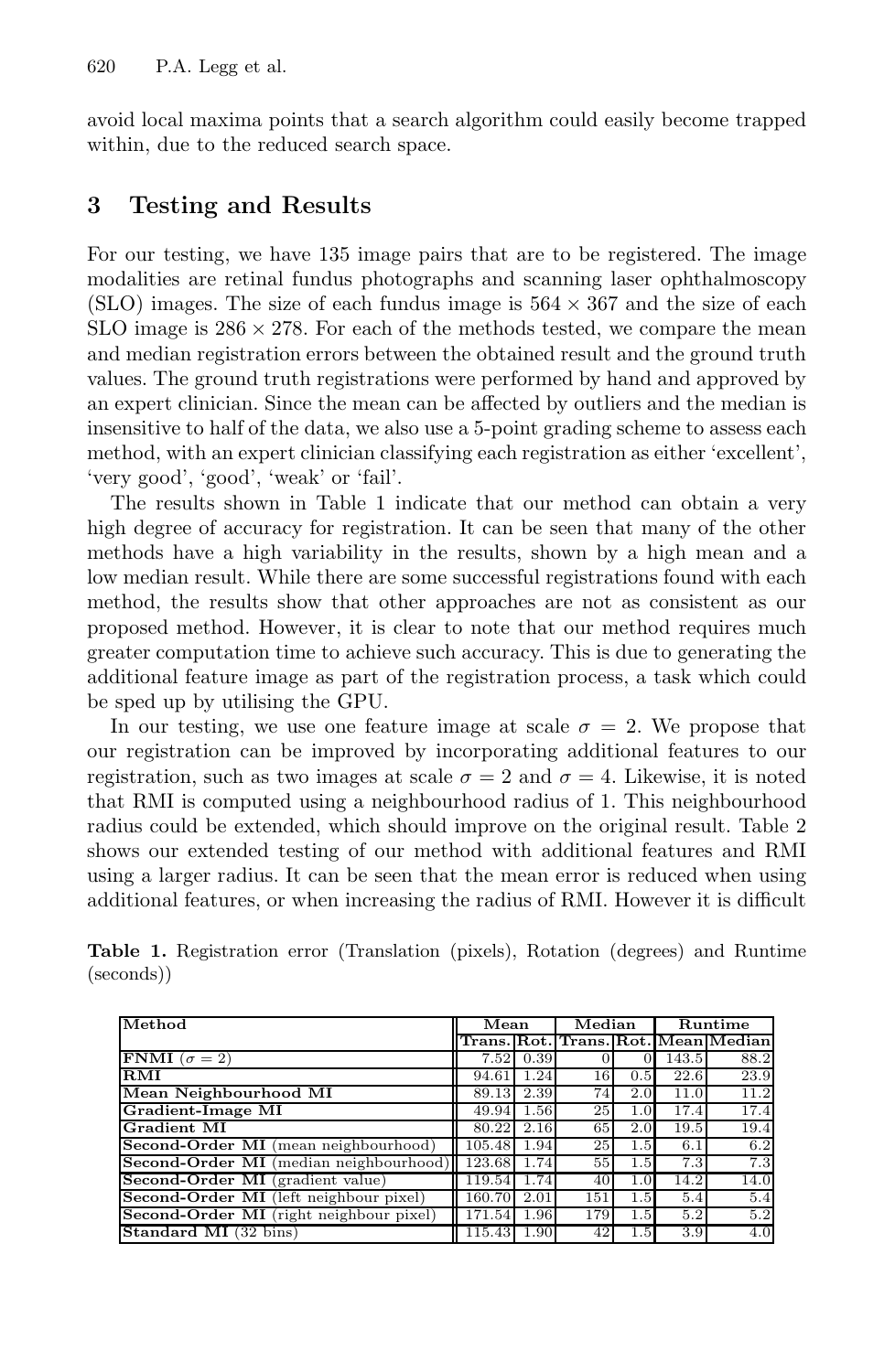avoid local maxima points that a search algorithm could easily become trapped within, due to the reduced search space.

# **3 Testing and Results**

For our testing, we have 135 image pairs that are to be registered. The image modalities are retinal fundus photographs and scanning laser ophthalmoscopy (SLO) images. The size of each fundus image is  $564 \times 367$  and the size of each SLO image is  $286 \times 278$ . For each of the methods tested, we compare the mean and median registration errors between the obtained result and the ground truth values. The ground truth registrations were performed by hand and approved by an expert clinician. Since the mean can be affected by outliers and the median is insensitive to half of the data, we also use a 5-point grading scheme to assess each method, with an expert clinician classifying each registration as either 'excellent', 'very good', 'good', 'weak' or 'fail'.

The results shown in Table 1 indicate that our method can obtain a very high degree of accuracy for registration. It can be seen that many of the other methods have a high variability in the results, shown by a high mean and a low median result. While there are some successful registrations found with each method, the results show that other approaches are not as consistent as our proposed method. However, it is clear to note that our method requires much greater computation time to achieve such accuracy. This is due to generating the additional feature image as part of the registration process, a task which could be sped up by utilising the GPU.

In our testing, we use one feature image at scale  $\sigma = 2$ . We propose that our registration can be improved by incorporating additional features to our registration, such as two images at scale  $\sigma = 2$  and  $\sigma = 4$ . Likewise, it is noted that RMI is computed using a neighbourhood radius of 1. This neighbourhood radius could be extended, which should improve on the original result. Table 2 shows our extended testing of our method with additional features and RMI using a larger radius. It can be seen that the mean error is reduced when using additional features, or when increasing the radius of RMI. However it is difficult

| Method                                        | Mean   |      | Median |         | <b>Runtime</b> |                                     |
|-----------------------------------------------|--------|------|--------|---------|----------------|-------------------------------------|
|                                               |        |      |        |         |                | Trans. Rot. Trans. Rot. Mean Median |
| <b>FNMI</b> ( $\sigma = 2$ )                  | 7.52   | 0.39 |        |         | 143.5          | 88.2                                |
| RMI                                           | 94.61  | 1.24 | 16     | 0.5     | 22.6           | 23.9                                |
| Mean Neighbourhood MI                         | 89.13  | 2.39 | 74     | 2.0     | 11.0           | 11.2                                |
| Gradient-Image MI                             | 49.94  | 1.56 | 25     | 1.0     | 17.4           | 17.4                                |
| Gradient MI                                   | 80.22  | 2.16 | 651    | 2.0     | 19.5           | 19.4                                |
| Second-Order MI (mean neighbourhood)          | 105.48 | 1.94 | 25     | $1.5\,$ | 6.1            | 6.2                                 |
| Second-Order MI (median neighbourhood) 123.68 |        | 1.74 | 55     | 1.5     | 7.3            | 7.3                                 |
| <b>Second-Order MI</b> (gradient value)       | 119.54 | 1.74 | 40     | 1.0     | 14.2           | 14.0                                |
| Second-Order MI (left neighbour pixel)        | 160.70 | 2.01 | 151    | 1.5     | 5.4            | 5.4                                 |
| Second-Order MI (right neighbour pixel)       | 171.54 | 1.96 | 179    | 1.5     | 5.2            | 5.2                                 |
| <b>Standard MI</b> (32 bins)                  | 115.43 | 1.90 | 42     | $1.5\,$ | 3.9            | 4.0                                 |

**Table 1.** Registration error (Translation (pixels), Rotation (degrees) and Runtime (seconds))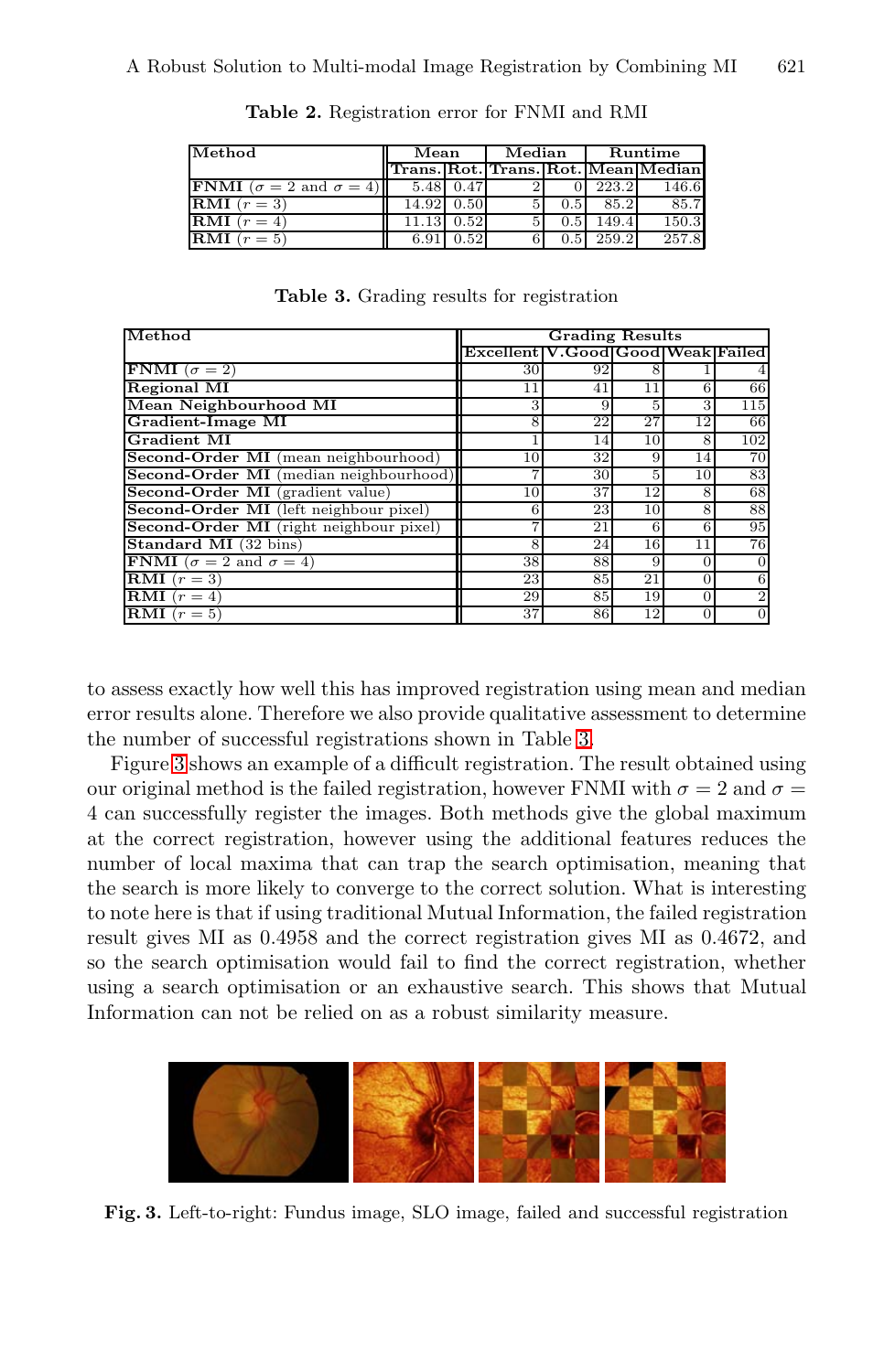| Method                                        | $\bm{\mathrm{Mean}}$ |            | Median |                  | <b>Runtime</b> |                                     |  |
|-----------------------------------------------|----------------------|------------|--------|------------------|----------------|-------------------------------------|--|
|                                               |                      |            |        |                  |                | Trans. Rot. Trans. Rot. Mean Median |  |
| <b>FNMI</b> ( $\sigma = 2$ and $\sigma = 4$ ) |                      | 5.48 0.47  |        |                  | 223.2          | 146.6                               |  |
| <b>RMI</b> $(r=3)$                            |                      | 14.92 0.50 |        | 0.51             | 85.2           | 85.7                                |  |
| <b>RMI</b> $(r)$<br>$=4$                      | 11.13                | 0.52       | 5      | 0.5 <sub>l</sub> | 149.4          | 150.3                               |  |
| $=5^{\circ}$                                  | 6.9                  | 0.52       |        | 0.5              | 259.2          | 257.8                               |  |

**Table 2.** Registration error for FNMI and RMI

| Method                                        | <b>Grading Results</b>                    |    |    |    |                  |  |
|-----------------------------------------------|-------------------------------------------|----|----|----|------------------|--|
|                                               | Excellent   V.Good   Good   Weak   Failed |    |    |    |                  |  |
| $\overline{\text{FNMI}}(\sigma=2)$            | 30                                        | 92 |    |    | 4                |  |
| <b>Regional MI</b>                            | 11                                        | 41 | 11 | 6  | 66               |  |
| Mean Neighbourhood MI                         |                                           | 9  | 5  | 3  | 115              |  |
| Gradient-Image MI                             | 8                                         | 22 | 27 | 12 | 66               |  |
| Gradient MI                                   |                                           | 14 | 10 | 8  | 102              |  |
| Second-Order MI (mean neighbourhood)          | 10                                        | 32 | 9  | 14 | 70               |  |
| Second-Order MI (median neighbourhood)        |                                           | 30 |    | 10 | 83               |  |
| <b>Second-Order MI</b> (gradient value)       | 10                                        | 37 | 12 | 8  | 68               |  |
| Second-Order MI (left neighbour pixel)        | 6                                         | 23 | 10 | 8  | 88               |  |
| Second-Order MI (right neighbour pixel)       |                                           | 21 | 6  | 6  | 95               |  |
| <b>Standard MI</b> (32 bins)                  | 8                                         | 24 | 16 | 11 | 76               |  |
| <b>FNMI</b> ( $\sigma = 2$ and $\sigma = 4$ ) | 38                                        | 88 | 9  |    | $\overline{0}$   |  |
| <b>RMI</b> $(r=3)$                            | 23                                        | 85 | 21 | 0  | 6                |  |
| <b>RMI</b> $(r = 4)$                          | 29                                        | 85 | 19 |    | $\boldsymbol{2}$ |  |
| <b>RMI</b> $(r=5)$                            | 37                                        | 86 | 12 |    | $\overline{0}$   |  |

**Table 3.** Grading results for registration

to assess exactly how well this has improved registration using mean and median error results alone. Therefore we also provide qualitative assessment to determine the number of successful registrations shown in Table 3.

Figure 3 shows an example of a difficult registration. The result obtained using our original method is the failed registration, however FNMI with  $\sigma = 2$  and  $\sigma =$ 4 can successfully register the images. Both methods give the global maximum at the correct registration, however using the additional features reduces the number of local maxima that can trap the search optimisation, meaning that the search is more likely to converge to the correct solution. What is interesting to note here is that if using traditional Mutual Information, the failed registration result gives MI as 0.4958 and the correct registration gives MI as 0.4672, and so the search optimisation would fail to find the correct registration, whether using a search optimisation or an exhaustive search. This shows that Mutual Information can not be relied on as a robust similarity measure.



**Fig. 3.** Left-to-right: Fundus image, SLO image, failed and successful registration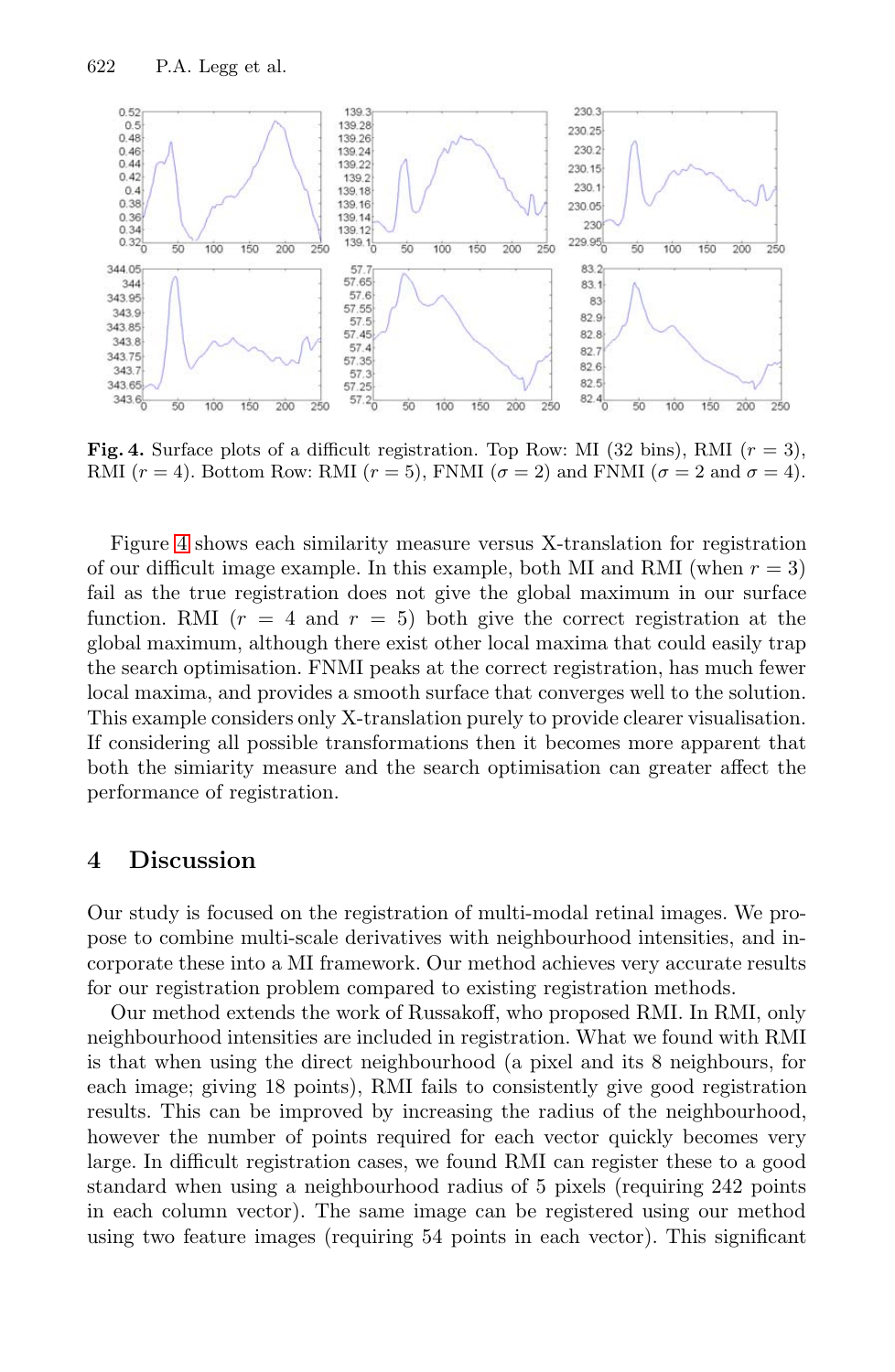622 P.A. Legg et al.



**Fig. 4.** Surface plots of a difficult registration. Top Row: MI (32 bins), RMI ( $r = 3$ ), RMI  $(r = 4)$ . Bottom Row: RMI  $(r = 5)$ , FNMI  $(\sigma = 2)$  and FNMI  $(\sigma = 2 \text{ and } \sigma = 4)$ .

Figure 4 shows each similarity measure versus X-translation for registration of our difficult image example. In this example, both MI and RMI (when  $r = 3$ ) fail as the true registration does not give the global maximum in our surface function. RMI  $(r = 4$  and  $r = 5)$  both give the correct registration at the global maximum, although there exist other local maxima that could easily trap the search optimisation. FNMI peaks at the correct registration, has much fewer local maxima, and provides a smooth surface that converges well to the solution. This example considers only X-translation purely to provide clearer visualisation. If considering all possible transformations then it becomes more apparent that both the simiarity measure and the search optimisation can greater affect the performance of registration.

### **4 Discussion**

Our study is focused on the registration of multi-modal retinal images. We propose to combine multi-scale derivatives with neighbourhood intensities, and incorporate these into a MI framework. Our method achieves very accurate results for our registration problem compared to existing registration methods.

Our method extends the work of Russakoff, who proposed RMI. In RMI, only neighbourhood intensities are included in registration. What we found with RMI is that when using the direct neighbourhood (a pixel and its 8 neighbours, for each image; giving 18 points), RMI fails to consistently give good registration results. This can be improved by increasing the radius of the neighbourhood, however the number of points required for each vector quickly becomes very large. In difficult registration cases, we found RMI can register these to a good standard when using a neighbourhood radius of 5 pixels (requiring 242 points in each column vector). The same image can be registered using our method using two feature images (requiring 54 points in each vector). This significant